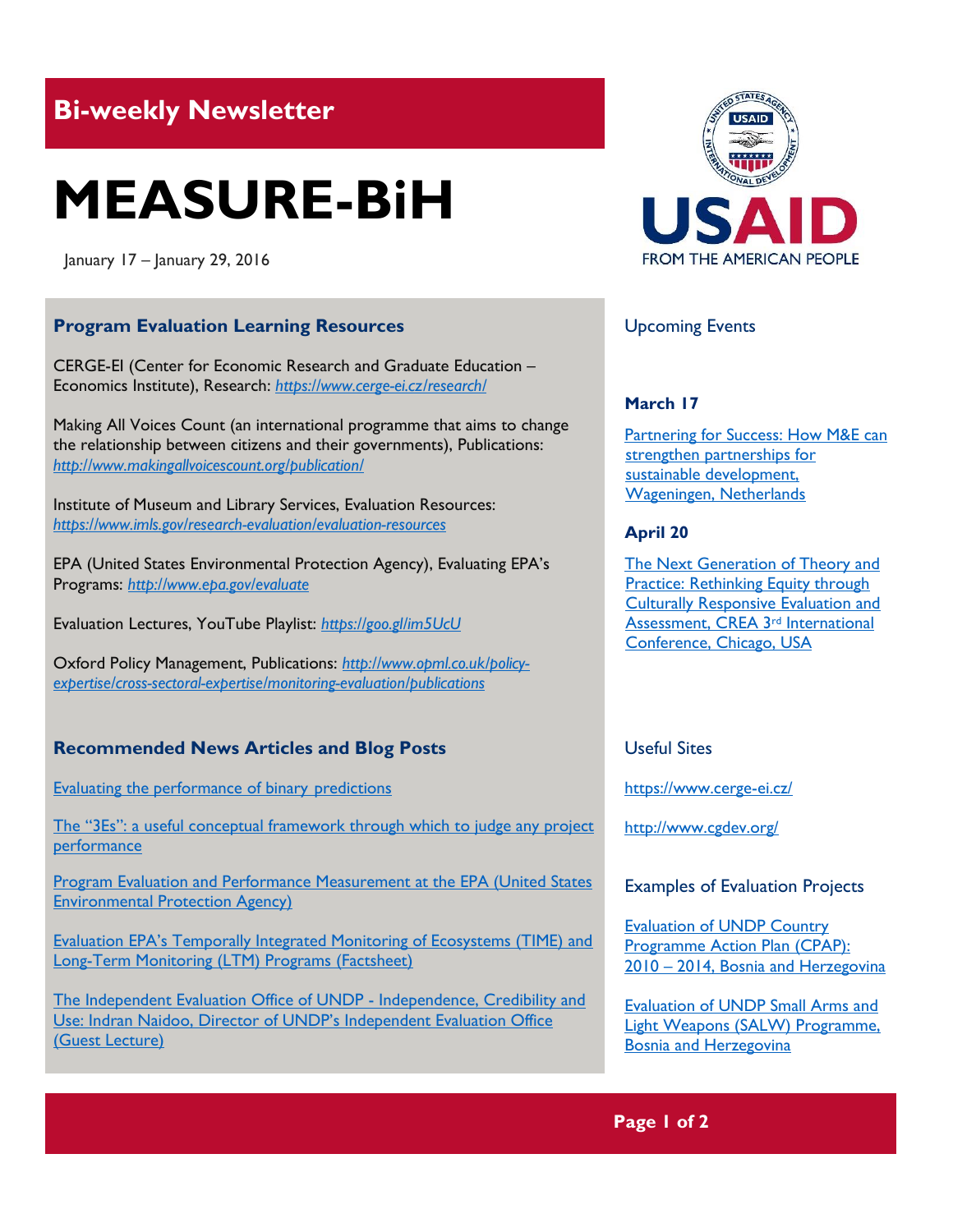## **Bi-weekly Newsletter**

# **MEASURE-BiH**

January 17 – January 29, 2016

#### **Program Evaluation Learning Resources**

CERGE-EI (Center for Economic Research and Graduate Education – Economics Institute), Research: *https://www.cerge-ei.cz/research/*

Making All Voices Count (an international programme that aims to change the relationship between citizens and their governments), Publications: *<http://www.makingallvoicescount.org/publication/>*

Institute of Museum and Library Services, Evaluation Resources: *<https://www.imls.gov/research-evaluation/evaluation-resources>*

EPA (United States Environmental Protection Agency), Evaluating EPA's Programs: *<http://www.epa.gov/evaluate>*

Evaluation Lectures, YouTube Playlist: *<https://goo.gl/im5UcU>*

Oxford Policy Management, Publications: *[http://www.opml.co.uk/policy](http://www.opml.co.uk/policy-expertise/cross-sectoral-expertise/monitoring-evaluation/publications)[expertise/cross-sectoral-expertise/monitoring-evaluation/publications](http://www.opml.co.uk/policy-expertise/cross-sectoral-expertise/monitoring-evaluation/publications)*

### **Recommended News Articles and Blog Posts**

[Evaluating the performance of binary](http://mandenews.blogspot.ba/2015/05/evaluating-performance-of-binary.html) predictions

[The "3Es": a useful conceptual framework through which to judge any project](http://www.aid-it.com.au/Blog/tabid/64/entryid/5/The-3Es-a-useful-conceptual-framework-through-which-to-judge-any-project-performance.aspx)  [performance](http://www.aid-it.com.au/Blog/tabid/64/entryid/5/The-3Es-a-useful-conceptual-framework-through-which-to-judge-any-project-performance.aspx)

[Program Evaluation and Performance Measurement at the EPA \(United States](http://www.epa.gov/evaluate/program-evaluation-and-performance-measurement-epa)  [Environmental Protection Agency\)](http://www.epa.gov/evaluate/program-evaluation-and-performance-measurement-epa)

[Evaluation EPA's Temporally Integrated Monitoring of Ecosystems \(TIME\) and](http://www.epa.gov/sites/production/files/2015-09/documents/fs-eval-epa-temporally-integrated-monitoring-ecosystems.pdf)  [Long-Term Monitoring \(LTM\) Programs \(Factsheet\)](http://www.epa.gov/sites/production/files/2015-09/documents/fs-eval-epa-temporally-integrated-monitoring-ecosystems.pdf)

[The Independent Evaluation Office of UNDP -](https://www.youtube.com/watch?v=NlcwaiBp06I) Independence, Credibility and [Use: Indran Naidoo, Director of UNDP's Independent Evaluation Office](https://www.youtube.com/watch?v=NlcwaiBp06I)  [\(Guest Lecture\)](https://www.youtube.com/watch?v=NlcwaiBp06I)



#### Upcoming Events

#### **March 17**

Partnering for Success: How M&E can [strengthen partnerships for](http://mande.co.uk/conferences/?event_id1=23)  [sustainable development,](http://mande.co.uk/conferences/?event_id1=23)  [Wageningen, Netherlands](http://mande.co.uk/conferences/?event_id1=23)

#### **April 20**

[The Next Generation of Theory and](http://mande.co.uk/conferences/?event_id1=18)  [Practice: Rethinking Equity through](http://mande.co.uk/conferences/?event_id1=18)  [Culturally Responsive Evaluation and](http://mande.co.uk/conferences/?event_id1=18)  [Assessment, CREA 3](http://mande.co.uk/conferences/?event_id1=18)rd International [Conference, Chicago, USA](http://mande.co.uk/conferences/?event_id1=18)

#### Useful Sites

<https://www.cerge-ei.cz/>

<http://www.cgdev.org/>

#### Examples of Evaluation Projects

[Evaluation of UNDP Country](http://erc.undp.org/evaluationadmin/manageevaluation/viewevaluationdetail.html?evalid=4816)  [Programme Action Plan \(CPAP\):](http://erc.undp.org/evaluationadmin/manageevaluation/viewevaluationdetail.html?evalid=4816)  2010 – [2014, Bosnia and Herzegovina](http://erc.undp.org/evaluationadmin/manageevaluation/viewevaluationdetail.html?evalid=4816)

[Evaluation of UNDP Small Arms and](http://erc.undp.org/evaluationadmin/manageevaluation/viewevaluationdetail.html?evalid=4768)  [Light Weapons \(SALW\) Programme,](http://erc.undp.org/evaluationadmin/manageevaluation/viewevaluationdetail.html?evalid=4768)  [Bosnia and Herzegovina](http://erc.undp.org/evaluationadmin/manageevaluation/viewevaluationdetail.html?evalid=4768)

#### **Page 1 of 2**